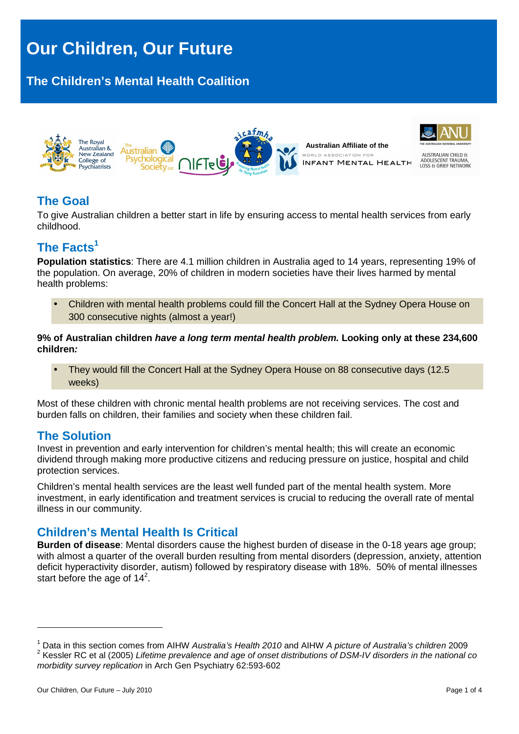# **Our Children, Our Future**

## **The Children's Mental Health Coalition**



## **The Goal**

To give Australian children a better start in life by ensuring access to mental health services from early childhood.

## **The Facts<sup>1</sup>**

**Population statistics**: There are 4.1 million children in Australia aged to 14 years, representing 19% of the population. On average, 20% of children in modern societies have their lives harmed by mental health problems:

• Children with mental health problems could fill the Concert Hall at the Sydney Opera House on 300 consecutive nights (almost a year!)

**9% of Australian children have a long term mental health problem. Looking only at these 234,600 children:**

• They would fill the Concert Hall at the Sydney Opera House on 88 consecutive days (12.5 weeks)

Most of these children with chronic mental health problems are not receiving services. The cost and burden falls on children, their families and society when these children fail.

## **The Solution**

Invest in prevention and early intervention for children's mental health; this will create an economic dividend through making more productive citizens and reducing pressure on justice, hospital and child protection services.

Children's mental health services are the least well funded part of the mental health system. More investment, in early identification and treatment services is crucial to reducing the overall rate of mental illness in our community.

## **Children's Mental Health Is Critical**

**Burden of disease**: Mental disorders cause the highest burden of disease in the 0-18 years age group; with almost a quarter of the overall burden resulting from mental disorders (depression, anxiety, attention deficit hyperactivity disorder, autism) followed by respiratory disease with 18%. 50% of mental illnesses start before the age of  $14^2$ .

<sup>&</sup>lt;sup>1</sup> Data in this section comes from AIHW Australia's Health 2010 and AIHW A picture of Australia's children 2009  $^2$  Kessler RC et al (2005) Lifetime prevalence and age of onset distributions of DSM-IV disorders in the national co morbidity survey replication in Arch Gen Psychiatry 62:593-602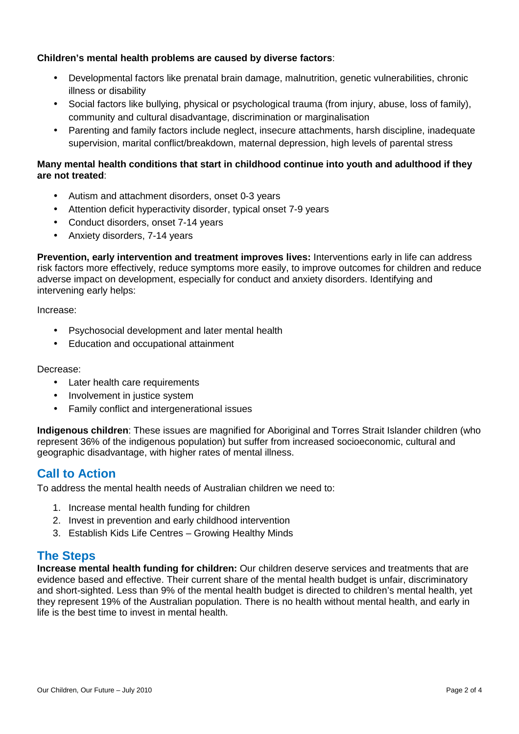#### **Children's mental health problems are caused by diverse factors**:

- Developmental factors like prenatal brain damage, malnutrition, genetic vulnerabilities, chronic illness or disability
- Social factors like bullying, physical or psychological trauma (from injury, abuse, loss of family), community and cultural disadvantage, discrimination or marginalisation
- Parenting and family factors include neglect, insecure attachments, harsh discipline, inadequate supervision, marital conflict/breakdown, maternal depression, high levels of parental stress

#### **Many mental health conditions that start in childhood continue into youth and adulthood if they are not treated**:

- Autism and attachment disorders, onset 0-3 years
- Attention deficit hyperactivity disorder, typical onset 7-9 years
- Conduct disorders, onset 7-14 years
- Anxiety disorders, 7-14 years

**Prevention, early intervention and treatment improves lives:** Interventions early in life can address risk factors more effectively, reduce symptoms more easily, to improve outcomes for children and reduce adverse impact on development, especially for conduct and anxiety disorders. Identifying and intervening early helps:

Increase:

- Psychosocial development and later mental health
- Education and occupational attainment

Decrease:

- Later health care requirements
- Involvement in justice system
- Family conflict and intergenerational issues

**Indigenous children**: These issues are magnified for Aboriginal and Torres Strait Islander children (who represent 36% of the indigenous population) but suffer from increased socioeconomic, cultural and geographic disadvantage, with higher rates of mental illness.

## **Call to Action**

To address the mental health needs of Australian children we need to:

- 1. Increase mental health funding for children
- 2. Invest in prevention and early childhood intervention
- 3. Establish Kids Life Centres Growing Healthy Minds

## **The Steps**

**Increase mental health funding for children:** Our children deserve services and treatments that are evidence based and effective. Their current share of the mental health budget is unfair, discriminatory and short-sighted. Less than 9% of the mental health budget is directed to children's mental health, yet they represent 19% of the Australian population. There is no health without mental health, and early in life is the best time to invest in mental health.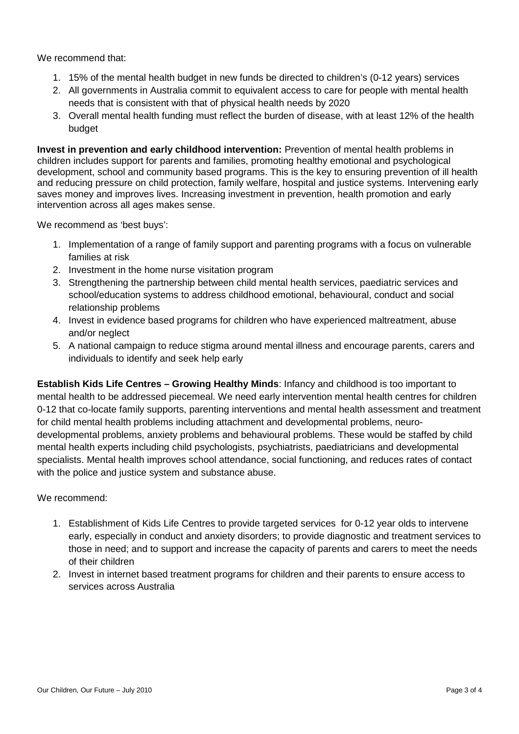We recommend that:

- 1. 15% of the mental health budget in new funds be directed to children's (0-12 years) services
- 2. All governments in Australia commit to equivalent access to care for people with mental health needs that is consistent with that of physical health needs by 2020
- 3. Overall mental health funding must reflect the burden of disease, with at least 12% of the health budget

**Invest in prevention and early childhood intervention:** Prevention of mental health problems in children includes support for parents and families, promoting healthy emotional and psychological development, school and community based programs. This is the key to ensuring prevention of ill health and reducing pressure on child protection, family welfare, hospital and justice systems. Intervening early saves money and improves lives. Increasing investment in prevention, health promotion and early intervention across all ages makes sense.

We recommend as 'best buys':

- 1. Implementation of a range of family support and parenting programs with a focus on vulnerable families at risk
- 2. Investment in the home nurse visitation program
- 3. Strengthening the partnership between child mental health services, paediatric services and school/education systems to address childhood emotional, behavioural, conduct and social relationship problems
- 4. Invest in evidence based programs for children who have experienced maltreatment, abuse and/or neglect
- 5. A national campaign to reduce stigma around mental illness and encourage parents, carers and individuals to identify and seek help early

**Establish Kids Life Centres – Growing Healthy Minds**: Infancy and childhood is too important to mental health to be addressed piecemeal. We need early intervention mental health centres for children 0-12 that co-locate family supports, parenting interventions and mental health assessment and treatment for child mental health problems including attachment and developmental problems, neurodevelopmental problems, anxiety problems and behavioural problems. These would be staffed by child mental health experts including child psychologists, psychiatrists, paediatricians and developmental specialists. Mental health improves school attendance, social functioning, and reduces rates of contact with the police and justice system and substance abuse.

We recommend:

- 1. Establishment of Kids Life Centres to provide targeted services for 0-12 year olds to intervene early, especially in conduct and anxiety disorders; to provide diagnostic and treatment services to those in need; and to support and increase the capacity of parents and carers to meet the needs of their children
- 2. Invest in internet based treatment programs for children and their parents to ensure access to services across Australia